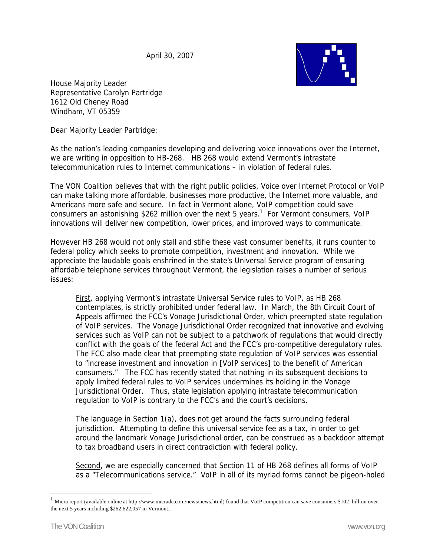April 30, 2007



House Majority Leader Representative Carolyn Partridge 1612 Old Cheney Road Windham, VT 05359

Dear Majority Leader Partridge:

As the nation's leading companies developing and delivering voice innovations over the Internet, we are writing in opposition to HB-268. HB 268 would extend Vermont's intrastate telecommunication rules to Internet communications – in violation of federal rules.

The VON Coalition believes that with the right public policies, Voice over Internet Protocol or VoIP can make talking more affordable, businesses more productive, the Internet more valuable, and Americans more safe and secure. In fact in Vermont alone, VoIP competition could save consumers an astonishing \$262 million over the next 5 years.<sup>1</sup> For Vermont consumers, VoIP innovations will deliver new competition, lower prices, and improved ways to communicate.

However HB 268 would not only stall and stifle these vast consumer benefits, it runs counter to federal policy which seeks to promote competition, investment and innovation. While we appreciate the laudable goals enshrined in the state's Universal Service program of ensuring affordable telephone services throughout Vermont, the legislation raises a number of serious issues:

First, applying Vermont's intrastate Universal Service rules to VoIP, as HB 268 contemplates, is strictly prohibited under federal law. In March, the 8th Circuit Court of Appeals affirmed the FCC's Vonage Jurisdictional Order, which preempted state regulation of VoIP services. The Vonage Jurisdictional Order recognized that innovative and evolving services such as VoIP can not be subject to a patchwork of regulations that would directly conflict with the goals of the federal Act and the FCC's pro-competitive deregulatory rules. The FCC also made clear that preempting state regulation of VoIP services was essential to "increase investment and innovation in [VoIP services] to the benefit of American consumers." The FCC has recently stated that nothing in its subsequent decisions to apply limited federal rules to VoIP services undermines its holding in the Vonage Jurisdictional Order. Thus, state legislation applying intrastate telecommunication regulation to VoIP is contrary to the FCC's and the court's decisions.

The language in Section 1(a), does not get around the facts surrounding federal jurisdiction. Attempting to define this universal service fee as a tax, in order to get around the landmark Vonage Jurisdictional order, can be construed as a backdoor attempt to tax broadband users in direct contradiction with federal policy.

Second, we are especially concerned that Section 11 of HB 268 defines all forms of VoIP as a "Telecommunications service." VoIP in all of its myriad forms cannot be pigeon-holed

 $\overline{a}$ 

<sup>1</sup> Micra report (available online at http://www.micradc.com/news/news.html) found that VoIP competition can save consumers \$102 billion over the next 5 years including \$262,622,057 in Vermont..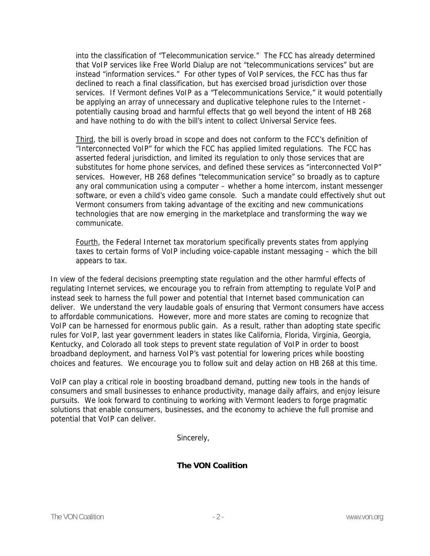into the classification of "Telecommunication service." The FCC has already determined that VoIP services like Free World Dialup are not "telecommunications services" but are instead "information services." For other types of VoIP services, the FCC has thus far declined to reach a final classification, but has exercised broad jurisdiction over those services. If Vermont defines VoIP as a "Telecommunications Service," it would potentially be applying an array of unnecessary and duplicative telephone rules to the Internet potentially causing broad and harmful effects that go well beyond the intent of HB 268 and have nothing to do with the bill's intent to collect Universal Service fees.

Third, the bill is overly broad in scope and does not conform to the FCC's definition of "Interconnected VoIP" for which the FCC has applied limited regulations. The FCC has asserted federal jurisdiction, and limited its regulation to only those services that are substitutes for home phone services, and defined these services as "interconnected VoIP" services. However, HB 268 defines "telecommunication service" so broadly as to capture any oral communication using a computer – whether a home intercom, instant messenger software, or even a child's video game console. Such a mandate could effectively shut out Vermont consumers from taking advantage of the exciting and new communications technologies that are now emerging in the marketplace and transforming the way we communicate.

Fourth, the Federal Internet tax moratorium specifically prevents states from applying taxes to certain forms of VoIP including voice-capable instant messaging – which the bill appears to tax.

In view of the federal decisions preempting state regulation and the other harmful effects of regulating Internet services, we encourage you to refrain from attempting to regulate VoIP and instead seek to harness the full power and potential that Internet based communication can deliver. We understand the very laudable goals of ensuring that Vermont consumers have access to affordable communications. However, more and more states are coming to recognize that VoIP can be harnessed for enormous public gain. As a result, rather than adopting state specific rules for VoIP, last year government leaders in states like California, Florida, Virginia, Georgia, Kentucky, and Colorado all took steps to prevent state regulation of VoIP in order to boost broadband deployment, and harness VoIP's vast potential for lowering prices while boosting choices and features. We encourage you to follow suit and delay action on HB 268 at this time.

VoIP can play a critical role in boosting broadband demand, putting new tools in the hands of consumers and small businesses to enhance productivity, manage daily affairs, and enjoy leisure pursuits. We look forward to continuing to working with Vermont leaders to forge pragmatic solutions that enable consumers, businesses, and the economy to achieve the full promise and potential that VoIP can deliver.

Sincerely,

## **The VON Coalition**